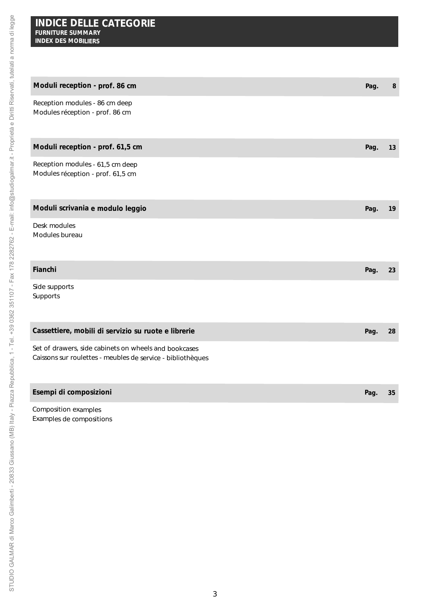| Moduli reception - prof. 86 cm                                                                                       | Pag. | 8  |
|----------------------------------------------------------------------------------------------------------------------|------|----|
| Reception modules - 86 cm deep<br>Modules réception - prof. 86 cm                                                    |      |    |
| Moduli reception - prof. 61,5 cm                                                                                     | Pag. | 13 |
| Reception modules - 61,5 cm deep<br>Modules réception - prof. 61,5 cm                                                |      |    |
| Moduli scrivania e modulo leggio                                                                                     | Pag. | 19 |
| Desk modules<br>Modules bureau                                                                                       |      |    |
| Fianchi                                                                                                              | Pag. | 23 |
| Side supports<br>Supports                                                                                            |      |    |
| Cassettiere, mobili di servizio su ruote e librerie                                                                  | Pag. | 28 |
| Set of drawers, side cabinets on wheels and bookcases<br>Caissons sur roulettes - meubles de service - bibliothèques |      |    |
| Esempi di composizioni                                                                                               | Pag. | 35 |

*Composition examples* Examples de compositions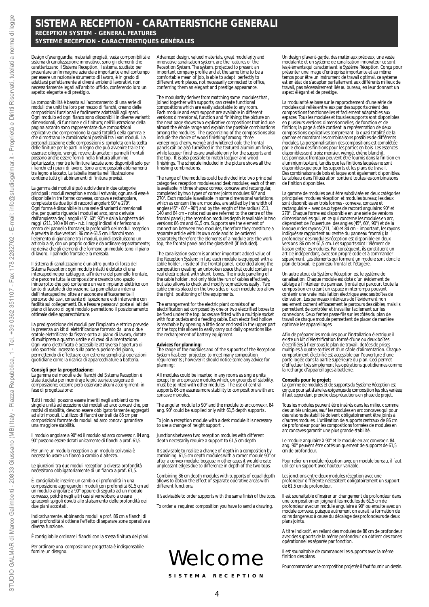**SISTEMA RECEPTION - CARATTERISTICHE GENERALI** *RECEPTION SYSTEM - GENERAL FEATURES* **SYSTEME RECEPTION - CARACTÉRISTIQUES GÉNÉRALES**

Design d'avanguardia, materiali pregiati, vasta componibilità e sistema di canalizzazione innovativo, sono gli elementi che caratterizzano il Sistema Reception. Il sistema, studiato per presentare un'immagine aziendale importante e nel contempo per essere un razionale strumento di lavoro, è in grado di adattarsi perfettamente ai diversi ambienti lavorativi, non necessariamente legati all'ambito ufficio, conferendo loro un aspetto elegante e di prestigio.

La componibilità è basata sull'accostamento di una serie di<br>moduli che uniti tra loro per mezzo di fianchi, creano delle<br>composizioni funzionali e facilmente adattabili agli spazi.<br>Ogni modulo ed ogni fianco sono disponibi dimensionali, di funzione e di finitura; nell'illustrazione della pagina accanto sono rappresentate due composizioni esplicative che comprendono la quasi totalità della gamma e che dimostrano le combinazioni possibili tra i vari moduli. La personalizzazione delle composizioni si completa con la scelta delle finiture per le parti in legno che può avvenire tra le tre essenze: ciliegio, wengė, rovere sbiancato; i pannelli frontali<br>possono anche essere forniti nella finitura alluminio<br>texturizzato, mentre le finiture laccate sono disponibili solo per<br>i fianchi ed i piani di lavoro. Sono tra legno e laccato. La tabella inserita nell'illustrazione contiene tutti gli abbinamenti di finitura previsti.

La gamma dei moduli si può suddividere in due categorie principali : moduli reception e moduli scrivania; ognuna di esse è disponibile in tre forme: convessa, concava e rettangolare, completate da due tipi di raccordi angolari: 90° e 270°. Ogni forma è disponibile in una serie di varianti dimensionali che, per quanto riguarda i moduli ad arco, sono derivate<br>dall'ampiezza degli angoli (45°, 60°, 90°) e dalla lunghezza dei<br>raggi (211, 140 e 84 cm – n.b. i raggi indicati si riferiscono al<br>centro del pannello frontale); la è prevista in due versioni: 86 cm e 61.5 cm. I fianchi sono<br>l'elemento di giunzione tra i moduli, quindi costituiscono un<br>articolo a sè, con un proprio codice, da ordinare separatamente;<br>ne deriva che gli elementi che form di lavoro, il pannello frontale e la mensola.

Il sistema di canalizzazione è un altro punto di forza del Sistema Reception: ogni modulo infatti è dotato di una intercapedine per cablaggio, all'interno del pannello frontale, che percorre tutta la composizione creando uno spazio ininterrotto che può contenere un vero impianto elettrico con tanto di scatole di derivazione. La pannellatura interna dell'intercapedine, oltre a nascondere efficacemente il percorso dei cavi, consente di ispezionare e di intervenire con facilità sui collegamenti. Due fessure passacavi poste ai lati del piano di lavoro di ogni modulo permettono il posizionamento ottimale delle apparecchiature.

La predisposizione dei moduli per l'impianto elettrico prevede la presenza un kit di elettrificazione formato da una o due scatole elettrificate da fissare sotto al piano di lavoro, dotate di multipresa a quattro uscite e di cavo di alimentazione. Ogni vano elettrificato è accessibile attraverso l'apertura di uno sportello incassato sulla parte superiore del piano, permettendo di effettuare con estrema semplicità operazioni quotidiane come la ricarica di apparecchiature a batteria.

**Consigli per la progettazione:** La gamma dei moduli e dei fianchi del Sistema Reception è stata studiata per incontrare le più svariate esigenze di composizione; occorre però osservare alcuni accorgimenti in fase di progettazione

Tutti i moduli possono essere inseriti negli ambienti come singole unità ad eccezione dei moduli ad arco concavi che, per motivi di stabilità, devono essere obbligatoriamente aggregati ad altri moduli. L'utilizzo di fianchi centrali da 86 cm per composizioni formate da moduli ad arco concavi garantisce una maggiore stabilità.

Il modulo angolare a 90° ed il modulo ad arco convesso r. 84 ang. 90° possono essere dotati unicamente di fianchi a prof. 61,5.

Per unire un modulo reception a un modulo scrivania è necessario usare un fianco a cambio d'altezza.

Le giunzioni tra due moduli reception a diversa profondità necessitano obbligatoriamente di un fianco a prof. 61,5.

È consigliabile inserire un cambio di profondità in una composizione aggregando i moduli con profondità 61.5 cm ad un modulo angolare a 90° oppure di seguito ad un modulo convesso, poiché negli altri casi si verrebbero a creare spiacevoli spigoli dovuti allo sfalsamento delle profondità dei due piani accostati.

Indicativamente, abbinando moduli a prof. 86 cm a fianchi di pari profondità si ottiene l'effetto di separare zone operative a diversa funzione.

È consigliabile ordinare i fianchi con la stessa finitura dei piani.

Per ordinare una composizione progettata è indispensabile fornire un disegno.

*Advanced design, valued materials, great modularity and innovative canalisation system, are the features of the Reception System. The system, projected to present an important company profile and at the same time to be a comfortable mean of job, is able to adapt perfectly to different work places, not necessarily connected to office, conferring them an elegant and prestige appearance.*

*The modularity derives from matching some modules that , joined together with supports, can create functional compositions which are easily adaptable to any room. Each module and each support are available in different versions: dimensional, function and finishing; the picture on* the next page shows two explicative compositions that include<br>almost the whole range and explain the possible combinations<br>among the modules. The customizing of the compositions also<br>include the choice of wood finishings a *while lacquer finishes are available only for the supports and the top. It is also possible to match lacquer and wood finishings. The schedule included in the picture shows all the finishing combinations.*

*The range of the modules could be divided into two principal categories: reception modules and desk modules; each of them is available in three shapes: convex, concave and rectangular, completed by two types of corner joints modules: 90° and 270°. Each module is available in some dimensional variations, which as concern the arc modules, are settled by the width of angles (45° - 60° - 90°) and by the length of the radius ( 211, 140 and 84 cm – note: radius are referred to the centre of the frontal panel) ; the reception modules depth is available in two versions: 86 cm and 61,5 cm. Supports are the element of connection between two modules, therefore they constitute a separate article with its own code and to be ordered separately; therefore the elements of a module are: the work top, the frontal panel and the glass shelf (if included).*

*The canalisation system is another important added value of the Reception System: in fact each module is equipped with a cable holder , inside of the frontal panel, extended along the composition creating an unbroken space that could contain a real electric plant with shunt boxes. The inside panelling of the cable holder , not only hide the run of cables effectively, but also allows to check and modify connections easily . Two cable chinks placed on the two sides of each module top allow the right positioning of the equipments.*

*The arrangement for the electric plant consists of an electrification set composed by one or two electrified boxes to be fixed under the top; boxes are fitted with a multiple socket with four outlets and a feeding cable. Each electrified hollow is reachable by opening a little door enclosed in the upper part of the top; this allows to easily carry out daily operations like the rechargement of battery equipment.*

*Advices for planning: The range of the modules and of the supports of the Reception System has been projected to meet many composition requirements ; however it should notice some any advice for planning:*

*All modules could be inserted in any rooms as single units except for arc concave modules which, on grounds of stability, must be jointed with other modules. The use of central supports 86 cm assures more stability to compositions with arc concave modules.*

*The angular module to 90° and the module to arc convex r. 84 ang. 90° could be supplied only with 61,5 depth supports .*

*To join a reception module with a desk module it is necessary to use a change of height support .*

*Junctions between two reception modules with different depth necessarily require a support to 61,5 cm depth* 

*It's advisable to realize a change of depth in a composition by combining 61,5 cm depth modules with a corner module 90° or after a convex module, because in other cases it would create unpleasant edges due to difference in depth of the two tops.* 

*Combining 86 cm depth modules with supports of equal depth allows to obtain the effect of separate operative areas with different functions.* 

*It's advisable to order supports with the same finish of the tops.*

*To order a required composition you have to send a drawing.*

# Welcome

**SISTEMA RECEPTION**

*Un design d'avant-garde, des matériaux précieux, une vaste modularité et un système de canalisation innovateur ce sont les éléments qui caractérisent le Système Réception. Conçu pour présenter une image d'entreprise importante et au même temps pour être un instrument de travail optimal, ce système est en état de s'adapter parfaitement aux différents milieux de travail, pas nécessairement liés au bureau, en leur donnant un aspect élégant et de prestige.*

*La modularité se base sur le rapprochement d'une série de modules qui reliés entre eux par des supports créent des compositions fonctionnelles et facilement adaptables aux espaces. Tous les modules et tous les supports sont disponibles en plusieurs versions: dimensionnelles, de fonction et de finition; la page à côté contient la représentation de deux compositions explicatives comprenant la quasi totalité de la gamme et montrant les combinaisons possibles de différents modules. La personnalisation des compositions est complétée par le choix des finitions pour les parties en bois. Les essences disponibles sont trois: merisier, wengé, chêne blanchit. Les panneaux frontaux peuvent être fournis dans la finition en aluminium texturé, tandis que les finitions laquées ne sont disponibles que pour les supports et les plans de travail. Des combinaisons de bois et laque sont également disponibles. Le tableau dans l'illustration contient toutes les combinaisons de finition disponibles.*

*La gamme de modules peut être subdivisée en deux catégories principales: modules réception et modules bureau; les deux sont disponibles en trois formes - convexe, concave et rectangulaire – avec deux types de raccord angulaire: 90° et* 270". Chaque forme est disponible en une série de versions<br>dimensionnelles qui, en ce qui concerne les modules en arc,<br>dépendent de l'ouverture des angles (45°, 60°, 90°) et de la<br>longueur des rayons (211, 140 et 84 cm – i *indiqués se rapportent au centre du panneau frontal); la profondeur des modules réception est disponible en deux versions: 86 cm et 61,5 cm. Les supports sont l'élément de liaison entre les modules. Par conséquent, ils constituent un article indépendant, avec son propre code et à commander séparément. Les éléments qui forment un module sont donc le plan de travail, le panneau frontal et l'étagère.* 

*Un autre atout du Système Réception est le système de canalisation. Chaque module est doté d'un évidement de câblage à l'intérieur du panneau frontal qui parcourt toute la composition en créant un espace ininterrompu pouvant contenir une vraie installation électrique avec ses boîtes de dérivation. Les panneaux intérieurs de l'évidement non seulement cachent efficacement le parcours des câbles, mais ils permettent de contrôler et travailler facilement sur les connexions. Deux fentes passe-fils sur les côtés du plan de travail de chaque module permettent de placer de manière optimale les appareillages.*

*Afin de préparer les modules pour l'installation électrique il existe un kit d'électrification formé d'une ou deux boîtes électrifiées à fixer sous le plan de travail, dotées de prises multiples à quatre sorties et d'un câble d'alimentation. Chaque compartiment électrifié est accessible par l'ouverture d'une porte logée dans la partie supérieure du plan. Ceci permet d'effectuer très simplement les opérations quotidiennes comme la recharge d'appareillages à batterie.*

**Conseils pour le projet:**<br>La gamme de modules et de supports du Système Réception est<br>conçue pour satisfaire les exigences de composition les plus variées,<br>il faut cependant prendre des précautions en phase de projet.

*Tous les modules peuvent être insérés dans les milieux comme des unités uniques, sauf les modules en arc concaves qui pour des raisons de stabilité doivent obligatoirement être joints à d'autres modules. L'utilisation de supports centraux de 86 cm de profondeur pour les compositions formées de modules en arc concaves garantit une plus grande stabilité.* 

*Le module angulaire à 90° et le module en arc convexe r. 84 ang. 90° peuvent être dotés uniquement de supports de 61,5 cm de profondeur.*

*Pour relier un module réception avec un module bureau, il faut utiliser un support avec hauteur variable.* 

*Les jonctions entre deux modules réception avec une profondeur différente nécessitent obligatoirement un support de 61,5 cm de profondeur.*

*Il est souhaitable d'insérer un changement de profondeur dans une composition en joignant les modules de 61,5 cm de profondeur avec un module angulaire à 90° ou ensuite avec un module convexe, puisque autrement on aurait la formation de coins dangereux à cause du décalage des profondeurs de deux plans joints.* 

*A titre indicatif, en reliant des modules de 86 cm de profondeur avec des supports de la même profondeur on obtient des zones opérationnelles séparée par fonction.* 

*Il est souhaitable de commander les supports avec la même finition des plans.* 

*Pour commander une composition projetée il faut fournir un dessin.*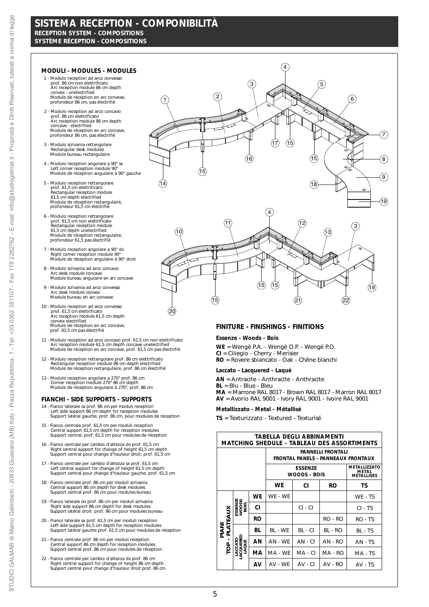# **SISTEMA RECEPTION - COMPONIBILITÀ** *RECEPTION SYSTEM - COMPOSITIONS*

**SYSTÈME RÉCEPTION - COMPOSITIONS**

## **MODULI -** *MODULES -* **MODULES**

- 1 Modulo reception ad arco convesso prof. 86 cm non elettrificato *Arc reception module 86 cm depth convex unelectrified* Module de réception en arc convexe, profondeur 86 cm, pas électrifié
- 2 Modulo reception ad arco concavo prof. 86 cm elettrificato *Arc reception module 86 cm depth concave - electrified* Module de réception en arc concave, profondeur 86 cm, pas électrifié
- 3 Modulo scrivania rettangolare *Rectangular desk modules* Module bureau rectangulaire
- 4 Modulo reception angolare a 90° sx *Left corner reception module 90°* Module de réception angulaire à 90° gauche
- 5 Modulo reception rettangolare<br> *Prof.* 61,5 cm elettrificato<br> *61,5 cm depth electrified*<br>
Module de réception rectangulaire,<br>
Module de réception rectangulaire,<br>
profondeur 61,5 cm électrifié
- 6 Modulo reception rettangolare prof. 61,5 cm non elettrificato *Rectangular reception module 61,5 cm depth unelectrified* Module de réception rectangulaire, profondeur 61,5 pas électrifié
- 7 Modulo reception angolare a 90° dx *Right corner reception module 90°* Module de réception angulaire à 90° droit
- 8 Modulo scrivania ad arco concavo *Arc desk module concave* Module bureau angulaire en arc concave
- 9 Modulo scrivania ad arco convesso *Arc desk module convex* Module bureau en arc convexe
- 10 Modulo reception ad arco convesso prof. 61,5 cm elettrificato *Arc reception module 61,5 cm depth convex electrified*<br>Module de réception en arc concave,<br>prof. 61,5 cm pas électrifié
- 11 Modulo reception ad arco concavo prof. 61,5 cm non elettrificato *Arc reception module 61,5 cm depth concave unelectrified* Module de réception en arc concave, prof. 61,5 cm pas électrifié
- 12 Modulo reception rettangolare prof. 86 cm elettrificato *Rectangular reception module 86 cm depth electrified* Module de réception rectangulaire, prof. 86 cm électrifié
- 13 Modulo reception angolare a 270° prof. 86 cm *Corner reception module 270° 86 cm depth* Module de réception angulaire à 270°, prof. 86 cm

## **FIANCHI -** *SIDE SUPPORTS -* **SUPPORTS**

- 14 Fianco laterale sx prof. 86 cm per moduli reception *Left side support 86 cm depth for reception modules* Support latéral gauche, prof. 86 cm. pour modules de réception
- 15 Fianco centrale prof. 61,5 cm per moduli reception *Central support 61,5 cm depth for reception modules* Support central, prof. 61,5 cm pour modules de réception
- 16 Fianco centrale per cambio d'altezza dx prof. 61,5 cm *Right central support for change of height 61,5 cm depth* Support central pour change d'hauteur droit, prof. 61,5 cm
- 17 Fianco centrale per cambio d'altezza sx prof. 61,5 cm *Left central support for change of height 61,5 cm depth* Support central pour change d'hauteur gauche, prof. 61,5 cm
- 18 Fianco centrale prof. 86 cm per moduli scrivania *Central support 86 cm depth for desk modules* Support central prof. 86 cm pour modules bureau
- 19 Fianco laterale dx prof. 86 cm per moduli scrivania *Right side support 86 cm depth for desk modules* Support latéral droit prof. 86 cm pour modules bureau
- 20 Fianco laterale sx prof. 61,5 cm per moduli reception *Left side support 61,5 cm depth for reception modules* Support latéral gauche prof. 61,5 cm pour modules de réception
- 21 Fianco centrale prof. 86 cm per moduli reception *Central support 86 cm depth for reception modules* Support central prof. 86 cm pour modules de réception
- 22 Fianco centrale per cambio d'altezza dx prof. 86 cm *Right central support for change of height 86 cm depth* Support central pour change d'hauteur droit prof. 86 cm



## **FINITURE -** *FINISHINGS -* **FINITIONS**

### **Essenze -** *Woods -* **Bois**

**WE** = Wengè P.A. - *Wengè O.P. -* Wengé P.O. **CI** = Ciliegio - *Cherry -* Merisier **RO** = Rovere sbiancato - *Oak -* Chêne blanchi

### **Laccato -** *Lacquered -* **Laqué**

**AN** = Antracite - *Anthracite -* Anthracite **BL** = Blu - *Blue -* Bleu **MA** = Marrone RAL 8017 - *Brown RAL 8017 -* Marron RAL 8017 **AV** = Avorio RAL 9001 - *Ivory RAL 9001 -* Ivoire RAL 9001

## **Metallizzato -** *Metal -* **Métallisé**

**TS** = Texturizzato - *Textured -* Texturisé

| TABELLA DEGLI ABBINAMENTI<br><i>MATCHING SHEDULE -</i> TABLEAU DES ASSORTIMENTS |                               |    |         |                                       |         |                                            |
|---------------------------------------------------------------------------------|-------------------------------|----|---------|---------------------------------------|---------|--------------------------------------------|
| <b>PANNELLI FRONTALI</b><br><b>FRONTAL PANELS - PANNEAUX FRONTAUX</b>           |                               |    |         |                                       |         |                                            |
|                                                                                 |                               |    |         | <b>ESSENZE</b><br><i>WOODS -</i> BOIS |         | METALLIZZATO<br><b>METAL</b><br>MÉTALLISÉS |
|                                                                                 |                               |    | WE      | СI                                    | RO      | TS                                         |
|                                                                                 |                               | WE | WE - WE |                                       |         | WE - TS                                    |
|                                                                                 | ESSENZE<br>WOODS<br>BOIS      | СI |         | $CI - CI$                             |         | $CI - TS$                                  |
| <b>ATEAUX</b>                                                                   |                               | RO |         |                                       | RO - RO | RO - TS                                    |
| PIANI<br>ᇟ                                                                      |                               | ВL | BL - WE | BL - CI                               | BL - RO | BL - TS                                    |
|                                                                                 | <b>CCATC</b><br>SOUER<br>AQUE | ΑN | AN - WE | $AN - CI$                             | AN - RO | AN - TS                                    |
| P <sub>O</sub>                                                                  |                               | МA | MA - WE | MA - CI                               | MA - RO | MA - TS                                    |
|                                                                                 |                               | AV | AV - WE | $AV - CI$                             | AV - RO | AV - TS                                    |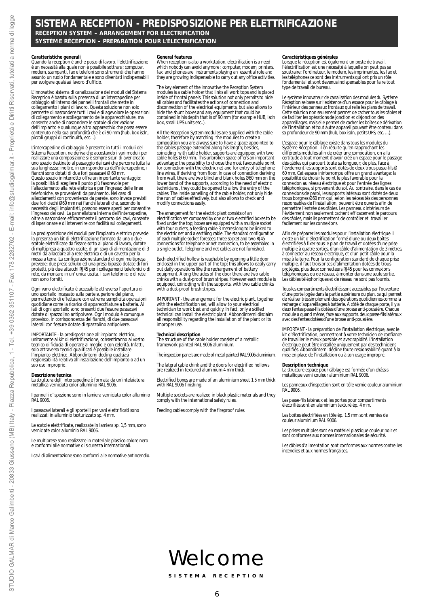# **SISTEMA RECEPTION - PREDISPOSIZIONE PER ELETTRIFICAZIONE** *RECEPTION SYSTEM – ARRANGEMENT FOR ELECTRIFICATION* **SYSTÈME RÉCEPTION – PREPARATION POUR L'ÉLECTRIFICATION**

### **Caratteristiche generali**

Quando la reception è anche posto di lavoro, l'elettrificazione è un necessità alla quale non è possibile sottrarsi: computer, modem, stampanti, fax e telefoni sono strumenti che hanno assunto un ruolo fondamentale e sono diventati indispensabili per svolgere qualsiasi lavoro d'ufficio.

L'innovativo sistema di canalizzazione dei moduli del Sistema Reception è basato sulla presenza di un'intercapedine per cablaggio all'interno dei pannelli frontali che mette in collegamento i piani di lavoro. Questa soluzione non solo permette di nascondere tutti i cavi e di agevolare le operazioni di collegamento e scollegamento delle apparecchiature, ma consente anche di nascondere le scatole di derivazione dell'impianto e qualunque altro apparecchio che possa essere contenuto nella sua profondità che è di 90 mm (hub, box isdn, piccoli gruppi di continuità, ecc…).

L'intercapedine di cablaggio è presente in tutti i moduli del Sistema Reception, ne deriva che accostando i vari moduli per realizzare una composizione si è sempre sicuri di aver creato uno spazio destinato al passaggio dei cavi che percorre tutta la sua lunghezza; inoltre, in corrispondenza dell'intercapedine, i fianchi sono dotati di due fori passacavi Ø 60 mm. Questo spazio ininterrotto offre un importante vantaggio: la possibilità di scegliere il punto più favorevole per<br>l'allacciamento alla rete elettrica e per l'ingresso delle linee<br>telefoniche, se provenienti da pavimento. Nel caso di<br>allacciamenti con provenienza da parete, sono i due fori ciechi Ø60 mm nei fianchi laterali che, secondo le necessità degli impiantisti, possono essere aperti per consentire l'ingresso dei cavi. La pannellatura interna dell'intercapedine, oltre a nascondere efficacemente il percorso dei cavi, consente di ispezionare e di intervenire con facilità sui collegamenti.

La predisposizione dei moduli per l'impianto elettrico prevede la presenza un kit di elettrificazione formato da una o due scatole elettrificate da fissare sotto al piano di lavoro, dotate di multipresa a quattro uscite, di un cavo di alimentazione di 3 metri da allacciare alla rete elettrica e di un cavetto per la messa a terra. La configurazione standard di ogni multipresa prevede: due prese schuko ed una presa bipasso dotate di fori protetti, più due attacchi RJ45 per i collegamenti telefonici o di rete, da montare in un' unica uscita. I cavi telefonici e di rete non sono forniti.

Ogni vano elettrificato è accessibile attraverso l'apertura di uno sportello incassato sulla parte superiore del piano, permettendo di effettuare con estrema semplicità operazioni quotidiane come la ricarica di apparecchiature a batteria. Ai lati di ogni sportello sono presenti due fessure passacavi dotate di spazzolino antipolvere. Ogni modulo è comunque provvisto, in corrispondenza dei fianchi, di due passacavi laterali con fessure dotate di spazzolino antipolvere.

IMPORTANTE - la predisposizione all'impianto elettrico, unitamente al kit di elettrificazione, consentiranno al vostro tecnico di fiducia di operare al meglio e con celerità. Infatti, solo attraverso tecnici qualificati è possibile installare l'impianto elettrico. Abbondinterni declina qualsiasi responsabilità relativa all'installazione dell'impianto o ad un suo uso improprio.

#### **Descrizione tecnica**

La struttura dell' intercapedine è formata da un'intelaiatura metallica verniciata color alluminio RAL 9006.

I pannelli d'ispezione sono in lamiera verniciata color alluminio RAL 9006.

I passacavi laterali e gli sportelli per vani elettrificati sono realizzati in alluminio texturizzato sp. 4 mm.

Le scatole elettrificate, realizzate in lamiera sp. 1,5 mm, sono verniciate color alluminio RAL 9006.

Le multiprese sono realizzate in materiale plastico colore nero e conformi alle normative di sicurezza internazionali.

I cavi di alimentazione sono conformi alle normative antincendio.

#### *General features*

*When reception is also a workstation, electrification is a need which nobody can avoid anymore : computer, modem, printers, fax and phones are instruments playing an essential role and they are growing indispensable to carry out any office activities.*

*The key element of the innovative the Reception System modules is a cable holder that links all work tops and is placed inside of frontal panels. This solution not only permits to hide all cables and facilitates the actions of connection and disconnection of the electrical equipments, but also allows to hide the shunt boxes and any equipment that could be contained in his depth that is of 90 mm (for example HUB, isdn box, small UPS units etc..).* 

*All the Reception System modules are supplied with the cable holder, therefore by matching the modules to create a composition you are always sure to have a space appointed to the cables passage extended along his length; besides,* coinciding with cable holder, supports are equipped with two<br>cable holes Ø 60 mm. This unbroken space offers an important<br>advantage: the possibility to choose the most favourable point<br>for connection with the electric net *line wires, if deriving from floor. In case of connection deriving from wall, there are two blind and blank holes Ø60 mm on the* lower band of the supports, according to the need of electric<br>technicians , they could be opened to allow the entry of the<br>cables. The inside panelling of the cable holder, not only hide<br>the run of cables effectively, but *modify connections easily.* 

*The arrangement for the electric plant consists of an electrification set composed by one or two electrified boxes to be fixed under the top; boxes are equipped with a multiple socket with four outlets, a feeding cable 3 metres long to be linked to the electric net and a earthing cable. The standard configuration of each multiple socket foresees: three socket and two RJ45 connections for telephone or net connection, to be assembled in a single outlet. Telephone and net cables are not furnished.* 

*Each electrified hollow is reachable by opening a little door enclosed in the upper part of the top; this allows to easily carry out daily operations like the rechargement of battery equipment. Along the sides of the door there are two cable chinks with a dust-proof brush stripes. However each module is equipped, coinciding with the supports, with two cable chinks with a dust-proof brush stripes.*

IMPORIANI - the arrangement for the electric plant, together<br>with the electrification set, will allow to your electrical<br>technician to work best and quickly. In fact, only a skilled<br>technical can install the electric plant *improper use.*

#### *Technical description*

*The structure of the cable holder consists of a metallic framework painted RAL 9006 aluminium.*

*The inspection panels are made of metal painted RAL 9006 aluminium.*

*The lateral cable chink and the doors for electrified hollows are realized in textured aluminium 4 mm thick.*

*Electrified boxes are made of an aluminium sheet 1.5 mm thick with RAL 9006 finishing.*

*Multiple sockets are realized in black plastic materials and they comply with the international safety rules.*

*Feeding cables comply with the fireproof rules.*

*Caractéristiques générales Lorsque la réception est également un poste de travail, l'électrification est une nécessité à laquelle on peut pas se soustraire: l'ordinateur, le modem, les imprimantes, les fax et les téléphones ce sont des instruments qui ont pris un rôle fondamental et sont devenus indispensables pour faire tout type de travail de bureau.* 

*Le système innovateur de canalisation des modules du Système Réception se base sur l'existence d'un espace pour le câblage à l'intérieur des panneaux frontaux qui relie les plans de travail. Cette solution non seulement permet de cacher tous les câbles et de faciliter les opérations de jonction et disjonction des appareillages, mais elle permet de cacher les boîtes de dérivation de l'installation et tout autre appareil pouvant être contenu dans sa profondeur de 90 mm (hub, box isdn, petits UPS, etc. …).*

*L'espace pour le câblage existe dans tous les modules du Système Réception: il en résulte qu'en rapprochant les différents modules afin de créer une composition, on a la certitude à tout moment d'avoir créé un espace pour le passage des câbles qui parcourt toute sa longueur; de plus, face à l'évidement les supports sont dotés de deux trous passe-fils Ø* 60 mm. Cet espace ininterrompu offre un grand avantage: la<br>possibilité de choisir le point le plus favorable pour la<br>connexion au réseau électrique et pour l'entrée des lignes<br>téléphoniques, si provenant du sol. Au contrai *connexions de paroi, les supports latéraux sont dotés de deux trous borgnes Ø60 mm qui, selon les nécessités des personnes responsables de l'installation, peuvent être ouverts afin de permettre l'entrée des câbles. Les panneaux intérieurs de l'évidement non seulement cachent efficacement le parcours des câbles, mais ils permettent de contrôler et travailler facilement sur les connexions.* 

*Afin de préparer les modules pour l'installation électrique il existe un kit d'électrification formé d'une ou deux boîtes électrifiées à fixer sous le plan de travail et dotées d'une prise multiple à quatre sorties, d'un câble d'alimentation de 3 mètres, à connecter au réseau électrique, et d'un petit câble pour la mise à la terre. Pour la configuration standard de chaque prise multiple, il faut trois prises d'alimentation dotées de trous protégés, plus deux connecteurs RJ45 pour les connexions téléphoniques ou de réseau, à monter dans une seule sortie. Les câbles téléphoniques et de réseau ne sont pas fournis.* 

*Tous les compartiments électrifiés sont accessibles par l'ouverture d'une porte logée dans la partie supérieure du plan, ce qui permet de réaliser très simplement des opérations quotidiennes comme la recharge d'appareillages à batterie. A côté de chaque porte, il y a deux fentes passe-fils dotées d'une brosse anti-poussière. Chaque module a quand même, face aux supports, deux passe-fils latéraux avec des fentes dotées d'une brosse anti-poussière.*

*IMPORTANT - la préparation de l'installation électrique, avec le kit d'électrification, permettront à votre technicien de confiance de travailler le mieux possible et avec rapidité. L'installation électrique peut être installée uniquement par des techniciens qualifiés. Abbondinterni décline toute responsabilité quant à la mise en place de l'installation ou à son usage impropre.*

#### *Description technique*

*La structure espace pour câblage est formée d'un châssis métallique verni couleur aluminium RAL 9006.*

*Les panneaux d'inspection sont en tôle vernie couleur aluminium RAL 9006.*

*Les passe-fils latéraux et les portes pour compartiments électrifiés sont en aluminium texturé ép. 4 mm.* 

*Les boîtes électrifiées en tôle ép. 1,5 mm sont vernies de couleur aluminium RAL 9006.* 

*Les prises multiples sont en matériel plastique couleur noir et sont conformes aux normes internationales de sécurité.*

*Les câbles d'alimentation sont conformes aux normes contre les incendies et aux normes françaises.*

# Welcome

**SISTEMA RECEPTION**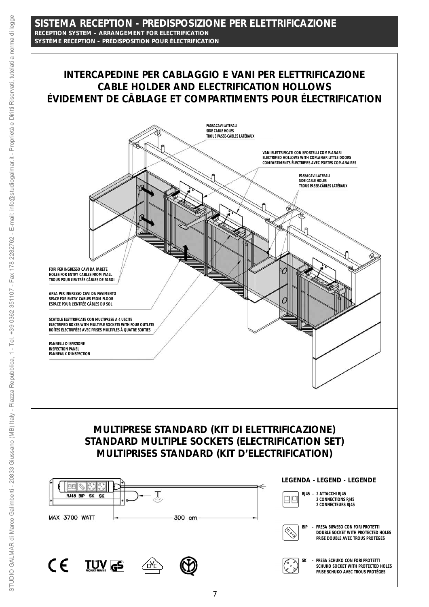# **SISTEMA RECEPTION - PREDISPOSIZIONE PER ELETTRIFICAZIONE** *RECEPTION SYSTEM – ARRANGEMENT FOR ELECTRIFICATION* **SYSTÈME RÉCEPTION – PRÉDISPOSITION POUR ÉLECTRIFICATION**

# **INTERCAPEDINE PER CABLAGGIO E VANI PER ELETTRIFICAZIONE** *CABLE HOLDER AND ELECTRIFICATION HOLLOWS* **ÉVIDEMENT DE CÂBLAGE ET COMPARTIMENTS POUR ÉLECTRIFICATION**

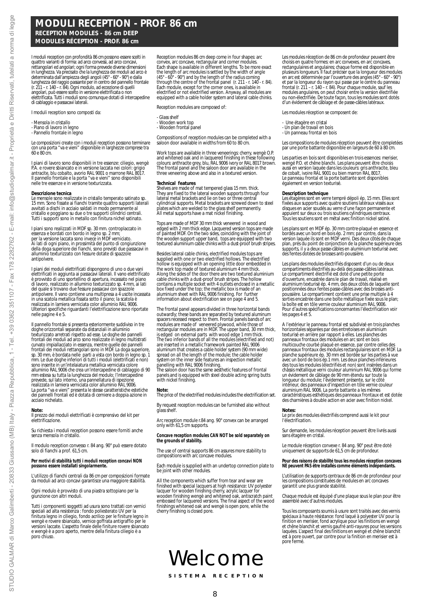# **MODULI RECEPTION - PROF. 86 cm** *RECEPTION MODULES - 86 cm DEEP* **MODULES RÉCEPTION - PROF. 86 cm**

I moduli reception con profondità 86 cm possono essere scelti in quattro varianti di forma: ad arco convessi, ad arco concavi, rettangolari ed angolari; ogni forma prevede diverse dimensioni in lunghezza. Va precisato che la lunghezza dei moduli ad arco è<br>determinata dall'ampiezza degli angoli (45° - 60° - 90°) e dalla<br>lunghezza del raggio passante per in centro del pannello frontale<br>(r. 211 – r. 140 – r. 84). di cablaggio e passacavi laterali.

I moduli reception sono composti da:

- 
- Mensola in cristallo Piano di lavoro in legno
- Pannello frontale in legno

Le composizioni create con i moduli reception possono terminare con una porta "va e vieni" disponibile in larghezze comprese tra 60 e 80 cm.

I piani di lavoro sono disponibili in tre essenze: ciliegio, wengè P.A. e rovere sbiancato e in versione laccata nei colori: grigio antracite, blu cobalto, avorio RAL 9001 o marrone RAL 8017. Il pannello frontale e la porta "va e vieni" sono disponibili nelle tre essenze e in versione texturizzata.

#### **Descrizione tecnica**

antipolvere.

Le mensole sono realizzate in cristallo temperato satinato sp. 15 mm. Sono fissate ai fianchi tramite quattro supporti laterali avvitati a dischi in acciaio saldati in modo permanente al cristallo e poggiano su due o tre supporti cilindrici centrali. Tutti i supporti sono in metallo con finitura nichel satinato.

I piani sono realizzati in MDF sp. 30 mm. controplaccato in essenza e bordati con bordo in legno sp. 2 mm;<br>per la versione laccata sono invece in MDF verniciato.<br>Ai lati di ogni piano, in prossimità del punto di congiunzione<br>della doga superiore dei fianchi, sono previsti due passa alluminio texturizzato con fessure dotate di spazzole

I piani dei moduli elettrificati dispongono di uno o due vani elettrificati in aggiunta ai passacavi laterali. Il vano elettrificato è provvisto di uno sportellino di apertura, incassato nel piano di lavoro, realizzato in alluminio texturizzato sp. 4 mm, ai lati del quale si trovano due fessure passacavi con spazzole antipolvere. Il vano contiene una multipresa a 4 uscite incassata in una scatola metallica fissata sotto il piano; la scatola è realizzata in lamiera verniciata color alluminio RAL 9006. Ulteriori specifiche riguardanti l'elettrificazione sono riportate nelle pagine 4 e 5.

Il pannello frontale si presenta esteriormente suddiviso in tre doghe orizzontali separate da distanziali in alluminio texturizzato arretrati rispetto ad esse. Le doghe dei pannelli frontali dei moduli ad arco sono realizzate in legno multistrati curvato impiallacciato in essenza, mentre quelle dei pannelli frontali dei moduli rettangolari sono in MDF. La doga superiore, sp. 30 mm, è bordata nelle parti a vista con bordo in legno sp. 1 mm. Le due doghe inferiori di tutti i moduli (elettrificati e non) sono inserite in un'intelaiatura metallica verniciata colore alluminio RAL 9006 che crea un'intercapedine di cablaggio di 90 mm estesa su tutta la lunghezza del modulo; l'intercapedine prevede, sul lato interno, una pannellatura di ispezione realizzata in lamiera verniciata color alluminio RAL 9006. La porta "va e vieni" presenta le stesse caratteristiche estetiche dei pannelli frontali ed è dotata di cerniere a doppia azione in acciaio nichelato.

#### **Note:**

Il prezzo dei moduli elettrificati è comprensivo del kit per elettrificazione.

Su richiesta i moduli reception possono essere forniti anche senza mensola in cristallo.

Il modulo reception convesso r. 84 ang. 90° può essere dotato solo di fianchi a prof. 61,5 cm.

**Per motivi di stabilità tutti i moduli reception concavi NON possono essere installati singolarmente.** 

L'utilizzo di fianchi centrali da 86 cm per composizioni formate da moduli ad arco concavi garantisce una maggiore stabilità.

Ogni modulo è provvisto di una piastra sottopiano per la giunzione con altri moduli.

Tutti i componenti soggetti ad usura sono trattati con vernici speciali ad alta resistenza : fondo poliesterato UV per la finitura legno in ciliegio, fondo acrilico per le finiture legno in wengè e rovere sbiancato, vernice goffrata antigraffio per le versioni laccate. L'aspetto finale delle finiture rovere sbiancato e wengè è a poro aperto, mentre della finitura ciliegio è a poro chiuso.

*Reception modules 86 cm deep come in four shapes: arc convex, arc concave, rectangular and corner modules. Each shape is available in different lengths. To be more exact* the length of arc modules is settled by the width of angle<br>(45° - 60° - 90°) and by the length of the radius coming<br>through the centre of the frontal panel (r. 211 - r. 140 - r. 84).<br>Each module, except for the corner ones *electrified or not electrified version. Anyway, all modules are equipped with a cable holder system and lateral cable chinks.*

*Reception modules are composed of:*

#### *- Glass shelf*

- 
- *Wooden work top Wooden frontal panel*

*Compositions of reception modules can be completed with a saloon door available in widths from 60 to 80 cm.*

*Work tops are available in three veneerings: cherry, wengè O.P. and whitened oak and in lacquered finishing in these following colours: anthracite grey, blu, RAL 9006 ivory or RAL 8017 brown. The frontal panel and the saloon door are available in the three veneering above and also in a textured version.*

#### *Technical features*

*Shelves are made of mat tempered glass 15 mm. thick. They are fixed to the lateral wooden supports through four lateral metal brackets and lie on two or three central cylindrical supports. Metal brackets are screwed down to steel plates which are welded to the glass shelf permanently. All metal supports have a mat nickel finishing.*

*Tops are made of MDF 30 mm thick veneered in wood and edged with 2 mm thick edge. Lacquered version tops are made of painted MDF. On the two sides, coinciding with the joint of the wooden support upper band, tops are equipped with two textured aluminium cable chinks with a dust-proof brush stripes.*

*Besides lateral cable chinks, electrified modules tops are supplied with one or two electrified hollows. The electrified hollow is equipped with an opening little door embedded in the work top made of textured aluminium 4 mm thick. Along the sides of the door there are two textured aluminium cable chinks with a dust-proof brush stripes. The hollow contains a multiple socket with 4 outlets enclosed in a metallic box fixed under the top; the metallic box is made of an aluminium sheet with RAL 9006 finishing. For further information about electrification see on page 4 and 5.*

*The frontal panel appears divided in three horizontal bands outwardly; these bands are separated by textured aluminum spacers recessed respect to them. Frontal panels bands of arc modules are made of veneered plywood, while those of rectangular modules are in MDF. The upper band, 30 mm thick, is edged on external parts with wood edge 1 mm thick. The two inferior bands of all the modules (electrified and not) are inserted in a metallic framework painted RAL 9006 aluminum that creates a cable holder system (90 mm wide) spread on all the length of the module; the cable holder system on the inner side features an inspection metallic panelling with RAL 9006 finishing. The saloon door has the same aesthetic features of frontal*

*panels and is equipped with steel double acting spring butts with nickel finishing.*

#### *Note:*

*The price of the electrified modules includes the electrification set.* 

*By request reception modules can be furnished also without glass shelf.*

*Arc reception module r.84 ang. 90° convex can be arranged only with 61,5 cm supports.* 

*Concave reception modules CAN NOT be sold separately on the grounds of stability.*

*The use of central supports 86 cm assures more stability to compositions with arc concave modules.*

*Each module is supplied with an undertop connection plate to be joint with other modules.* 

*All the components which suffer from tear and wear are finished with special lacquers at high resistance: UV polyester* lacquer for wooden finishing cherry, acrylic lacquer for<br>wooden finishing wengè and whitened oak, antiscratch paint<br>embossed for lacquered versions. The final aspect of the wood<br>finishings whitened oak and wengè is open po

# Welcome

*Les modules réception de 86 cm de profondeur peuvent être choisis en quatre formes: en arc convexes, en arc concaves, rectangulaires et angulaires; chaque forme est disponible en plusieurs longueurs. Il faut préciser que la longueur des modules en arc est déterminée par l'ouverture des angles (45° - 60° - 90°)* et par la longueur du rayon qui passe par le centre du panneau<br>frontal (r. 211 - r. 140 - r. 84). Pour chaque module, sauf les<br>modules angulaires, on peut choisir entre la version électrifiée<br>ou non-électrifiée. De toute f *d'un évidement de câblage et de passe-câbles latéraux.*

*Les modules réception se composent de:*

- 
- *Une étagère en cristal Un plan de travail en bois*
- *Un panneau frontal en bois*

*Les compositions de modules réception peuvent être completées par une porte battante disponible en largeurs de 60 à 80 cm.*

*Les parties en bois sont disponibles en trois essences: merisier, wengé P.O. et chêne blanchi. Les plans peuvent être choisis aussi en version laquée dans les couleurs: gris anthracite, bleu de cobalt, ivoire RAL 9001 ou bien marron RAL 8017. Le panneau frontal et la porte battante sont disponibles également en version texturisé.*

#### *Description technique*

*Les étagères sont en verre tempré dépoli ép. 15 mm. Elles sont fixées aux supports avec quatre soutiens latéraux vissés aux disques en acier soudés au verre d'une façon permanente et appuient sur deux ou trois soutiens cylindriques centraux. Tous les soutiens sont en métal avec finition nickel satiné.* 

*Les plans sont en MDF ép. 30 mm contre-plaqué en essence et* bordés avec un bord en bois ép. 2 mm; par contre, dans la<br>version laquée ils sont en MDF verni. Des deux côtés de chaque<br>plan, prés du point de conjonction de la planche supérieure des<br>supports, il y a deux passe-câbles en *des fentes dotées de brosses anti-poussière.* 

*Les plans des modules électrifiés disposent d'un ou de deux compartiments électrifiés au-delà des passe-câbles latéraux. Le compartiment électrifié est doté d'une petite porte d'ouverture, encastrée dans le plan de travail, réalisé en aluminium texturisé ép. 4 mm, des deux côtés de laquelle sont positionnées deux fentes passe-câbles avec des brosses antipoussière. Le compartiment contient une prise multiple à 4 sorties encastrée dans une boîte métallique fixée sous le plan; la boîte est en tôle vernie couleur aluminium RAL 9006. Pour d'autres spécifications concernantes l'électrification voir les pages 4 et 5.* 

*A l'extérieur le panneau frontal est subdivisé en trois planches horizontales séparées par des entretoises en aluminium texturisé en arrière par rapport à elles. Les planches des panneaux frontaux des modules en arc sont en bois multicouche courbé plaqué en essence, par contre celles des panneaux frontaux des modules rectangulaires sont en MDF. La planche supérieure ép. 30 mm est bordée sur les parties à vue avec un bord de bois ép.1 mm. Les deux planches inférieures des tous les modules (électrifiés et non) sont insérées dans un châssis métallique verni couleur aluminium RAL 9006 qui forme un évidement de câblage de 90 mm étendu sur toute la longueur du module; l'évidement présente, sur le côté intérieur, des panneaux d'inspection en tôle vernie couleur aluminium RAL 9006. La porte battante a les mêmes caractéristiques esthétiques des panneaux frontaux et est dotée des charnières à double action en acier avec finition nickel.*

*Notes: Le prix des modules électrifiés comprend aussi le kit pour l'électrification.* 

*Sur demande, les modules réception peuvent être livrés aussi sans étagère en cristal.* 

*Le module réception convexe r. 84 ang. 90° peut être doté uniquement de supports de 61,5 cm de profondeur.* 

*Pour des raisons de stabilité tous les modules réception concaves NE peuvent PAS être installés comme éléments indépendants.* 

*L'utilisation de supports centraux de 86 cm de profondeur pour les compositions constituées de modules en arc concaves garantit une plus grande stabilité.* 

*Chaque module est équipé d'une plaque sous le plan pour être assemblé avec d'autres modules.* 

*Tous les composants soumis à usure sont traités avec des vernis spéciaux à haute résistance: fond laqué à polyester UV pour la finition en merisier, fond acrylique pour les finitions en wengé et chêne blanchit et vernis gaufré anti-rayures pour les versions laquées. L'aspect final des finitions en wengé et chêne blanchit est à pore ouvert, par contre pour la finition en merisier est à pore fermé.*

**SISTEMA RECEPTION**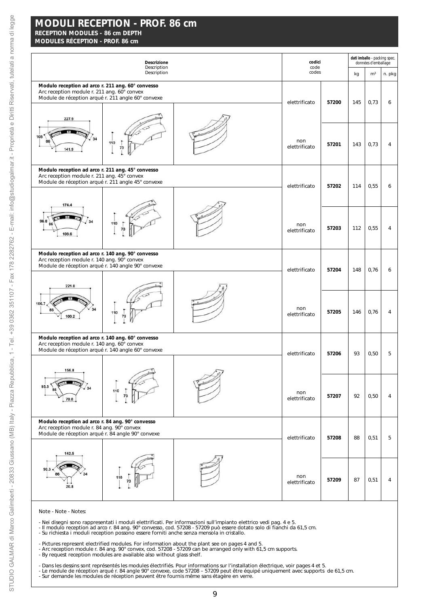# **MODULES RÉCEPTION - PROF. 86 cm**

|                                                                                                                                                        | Descrizione<br>Description | codici<br>code       |       |     | dati imballo - packing spec.<br>données d'emballage |        |
|--------------------------------------------------------------------------------------------------------------------------------------------------------|----------------------------|----------------------|-------|-----|-----------------------------------------------------|--------|
|                                                                                                                                                        | Description                | codes                |       | kg  | m <sup>3</sup>                                      | n. pkg |
| Modulo reception ad arco r. 211 ang. 60° convesso<br>Arc reception module r. 211 ang. 60° convex<br>Module de réception arqué r. 211 angle 60° convexe |                            | elettrificato        | 57200 | 145 | 0,73                                                | 6      |
| 227.9<br>105<br>34<br>86<br>141.9                                                                                                                      | 110<br>73                  | non<br>elettrificato | 57201 | 143 | 0,73                                                | 4      |
| Modulo reception ad arco r. 211 ang. 45° convesso<br>Arc reception module r. 211 ang. 45° convex<br>Module de réception arqué r. 211 angle 45° convexe |                            | elettrificato        | 57202 | 114 | 0,55                                                | 6      |
| 174.4                                                                                                                                                  |                            |                      |       |     |                                                     |        |
| 96.8<br>34<br>86<br>108.6                                                                                                                              | 110                        | non<br>elettrificato | 57203 | 112 | 0,55                                                | 4      |
| Modulo reception ad arco r. 140 ang. 90° convesso<br>Arc reception module r. 140 ang. 90° convex<br>Module de réception arqué r. 140 angle 90° convexe |                            | elettrificato        | 57204 | 148 | 0,76                                                | 6      |
| 221.8<br>106.7<br>34<br>86                                                                                                                             | 110                        | non<br>elettrificato | 57205 | 146 | 0,76                                                | 4      |
| 100.2<br>Modulo reception ad arco r. 140 ang. 60° convesso                                                                                             |                            |                      |       |     |                                                     |        |
| Arc reception module r. 140 ang. 60° convex<br>Module de réception arqué r. 140 angle 60° convexe                                                      |                            | elettrificato        | 57206 | 93  | 0,50                                                | 5      |
| 156.8<br>95.5<br>86<br>70.8                                                                                                                            | 110<br>73                  | non<br>elettrificato | 57207 | 92  | 0,50                                                | 4      |
| Modulo reception ad arco r. 84 ang. 90° convesso<br>Arc reception module r. 84 ang. 90° convex<br>Module de réception arqué r. 84 angle 90° convexe    |                            | elettrificato        | 57208 | 88  | 0,51                                                | 5      |
| 142.5                                                                                                                                                  |                            |                      |       |     |                                                     |        |
| $90.3 =$<br>86<br>20.8                                                                                                                                 |                            | non<br>elettrificato | 57209 | 87  | 0,51                                                | 4      |

Note - *Note* - Notes:

- 
- Nei disegni sono rappresentati i moduli elettrificati. Per informazioni sull'impianto elettrico vedi pag. 4 e 5.<br>- Il modulo reception ad arco r. 84 ang. 90° convesso, cod. 57208 57209 può essere dotato solo di fianchi
- 
- Pictures represent electrified modules. For information about the plant see on pages 4 and 5.<br>- Arc reception module r. 84 ang. 90° convex, cod. 57208 57209 can be arranged only with 61,5 cm supports.<br>- By request rece
- 
- 
- Dans les dessins sont représentés les modules électrifiés. Pour informations sur l'installation électrique, voir pages 4 et 5.<br>- Le module de réception arqué r. 84 angle 90° convexe, code 57208 57209 peut être équipé u
-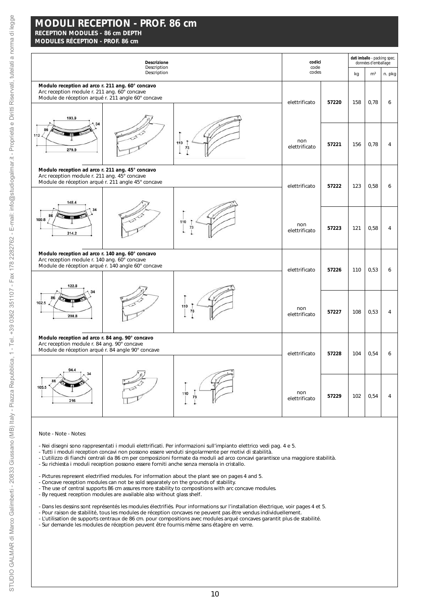# **MODULES RÉCEPTION - PROF. 86 cm**

| <b>Descrizione</b><br>Description                                                                                                                               |                      | codici<br>code |     | dati imballo - packing spec.<br>données d'emballage |        |  |  |
|-----------------------------------------------------------------------------------------------------------------------------------------------------------------|----------------------|----------------|-----|-----------------------------------------------------|--------|--|--|
| Description                                                                                                                                                     | codes                |                | kg  | m <sup>3</sup>                                      | n. pkg |  |  |
| Modulo reception ad arco r. 211 ang. 60° concavo<br>Arc reception module r. 211 ang. 60° concave<br>Module de réception arqué r. 211 angle 60° concave<br>193.9 | elettrificato        | 57220          | 158 | 0,78                                                | 6      |  |  |
| 34<br>112<br>110<br>73<br>279.9<br>1                                                                                                                            | non<br>elettrificato | 57221          | 156 | 0,78                                                | 4      |  |  |
| Modulo reception ad arco r. 211 ang. 45° concavo<br>Arc reception module r. 211 ang. 45° concave<br>Module de réception arqué r. 211 angle 45° concave          | elettrificato        | 57222          | 123 | 0,58                                                | 6      |  |  |
| 148.4                                                                                                                                                           |                      |                |     |                                                     |        |  |  |
| 100.8<br>110<br>73<br>214.2                                                                                                                                     | non<br>elettrificato | 57223          | 121 | 0,58                                                | 4      |  |  |
| Modulo reception ad arco r. 140 ang. 60° concavo<br>Arc reception module r. 140 ang. 60° concave<br>Module de réception arqué r. 140 angle 60° concave          | elettrificato        | 57226          | 110 | 0,53                                                | 6      |  |  |
| 122.8<br>86                                                                                                                                                     |                      |                |     |                                                     |        |  |  |
| 102.5<br>110<br>73<br>208.8                                                                                                                                     | non<br>elettrificato | 57227          | 108 | 0,53                                                | 4      |  |  |
| Modulo reception ad arco r. 84 ang. 90° concavo<br>Arc reception module r. 84 ang. 90° concave<br>Module de réception arqué r. 84 angle 90° concave             | elettrificato        | 57228          | 104 | 0,54                                                | 6      |  |  |
|                                                                                                                                                                 |                      |                |     |                                                     |        |  |  |
| 105.5<br>110<br>216                                                                                                                                             | non<br>elettrificato | 57229          | 102 | 0,54                                                | 4      |  |  |

Note - *Note* - Notes:

- Nei disegni sono rappresentati i moduli elettrificati. Per informazioni sull'impianto elettrico vedi pag. 4 e 5.

- Tutti i moduli reception concavi non possono essere venduti singolarmente per motivi di stabilità.

- L'utilizzo di fianchi centrali da 86 cm per composizioni formate da moduli ad arco concavi garantisce una maggiore stabilità.
- Su richiesta i moduli reception possono essere forniti anche senza mensola in cristallo.
- *Pictures represent electrified modules. For information about the plant see on pages 4 and 5.*
- *Concave reception modules can not be sold separately on the grounds of stability.*
- *The use of central supports 86 cm assures more stability to compositions with arc concave modules.*
- *By request reception modules are available also without glass shelf.*
- Dans les dessins sont représentés les modules électrifiés. Pour informations sur l'installation électrique, voir pages 4 et 5.
- Pour raison de stabilité, tous les modules de réception concaves ne peuvent pas être vendus individuellement.
- L'utilisation de supports centraux de 86 cm. pour compositions avec modules arqué concaves garantit plus de stabilité.
- Sur demande les modules de réception peuvent être fournis même sans étagère en verre.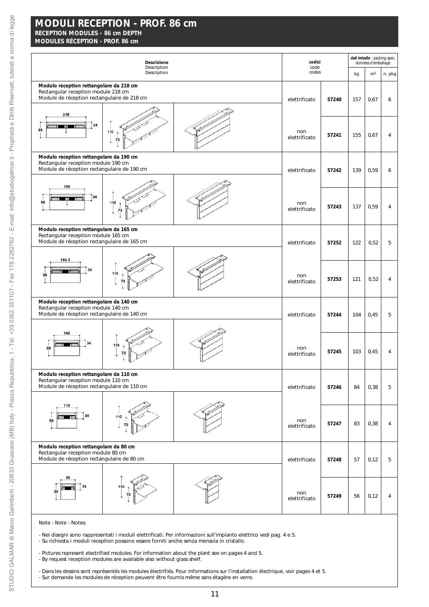**MODULES RÉCEPTION - PROF. 86 cm**

| Descrizione<br>Description                                                                                                    |                      | codici | dati imballo - packing spec.<br>données d'emballage |                |        |  |  |
|-------------------------------------------------------------------------------------------------------------------------------|----------------------|--------|-----------------------------------------------------|----------------|--------|--|--|
| Description                                                                                                                   | code<br>codes        |        | kg                                                  | m <sup>3</sup> | n. pkg |  |  |
| Modulo reception rettangolare da 218 cm<br>Rectangular reception module 218 cm<br>Module de réception rectangulaire de 218 cm | elettrificato        | 57240  | 157                                                 | 0,67           | 6      |  |  |
| 218<br>34<br>86<br>110<br>73                                                                                                  | non<br>elettrificato | 57241  | 155                                                 | 0,67           | 4      |  |  |
| Modulo reception rettangolare da 190 cm<br>Rectangular reception module 190 cm<br>Module de réception rectangulaire de 190 cm | elettrificato        | 57242  | 139                                                 | 0,59           | 6      |  |  |
| 190<br>34<br>86<br>110<br>73                                                                                                  | non<br>elettrificato | 57243  | 137                                                 | 0,59           | 4      |  |  |
| Modulo reception rettangolare da 165 cm<br>Rectangular reception module 165 cm<br>Module de réception rectangulaire de 165 cm | elettrificato        | 57252  | 122                                                 | 0,52           | 5      |  |  |
| 165.3<br>34<br>110<br>86                                                                                                      | non<br>elettrificato | 57253  | 121                                                 | 0,52           | 4      |  |  |
| Modulo reception rettangolare da 140 cm<br>Rectangular reception module 140 cm<br>Module de réception rectangulaire de 140 cm | elettrificato        | 57244  | 104                                                 | 0,45           | 5      |  |  |
| 140<br>110<br>86                                                                                                              | non<br>elettrificato | 57245  | 103                                                 | 0,45           | 4      |  |  |
| Modulo reception rettangolare da 110 cm<br>Rectangular reception module 110 cm<br>Module de réception rectangulaire de 110 cm | elettrificato        | 57246  | 84                                                  | 0,38           | 5      |  |  |
| 110<br>110<br>86                                                                                                              | non<br>elettrificato | 57247  | 83                                                  | 0,38           | 4      |  |  |
| Modulo reception rettangolare da 80 cm<br>Rectangular reception module 80 cm<br>Module de réception rectangulaire de 80 cm    | elettrificato        | 57248  | 57                                                  | 0,12           | 5      |  |  |
| 34<br>110<br>86                                                                                                               | non<br>elettrificato | 57249  | 56                                                  | 0,12           | 4      |  |  |
| Note - Note - Notes:                                                                                                          |                      |        |                                                     |                |        |  |  |

- Nei disegni sono rappresentati i moduli elettrificati. Per informazioni sull'impianto elettrico vedi pag. 4 e 5. - Su richiesta i moduli reception possono essere forniti anche senza mensola in cristallo.

- *Pictures represent electrified modules. For information about the plant see on pages 4 and 5.*

- *By request reception modules are available also without glass shelf.*

- Dans les dessins sont représentés les modules électrifiés. Pour informations sur l'installation électrique, voir pages 4 et 5. - Sur demande les modules de réception peuvent être fournis même sans étagère en verre.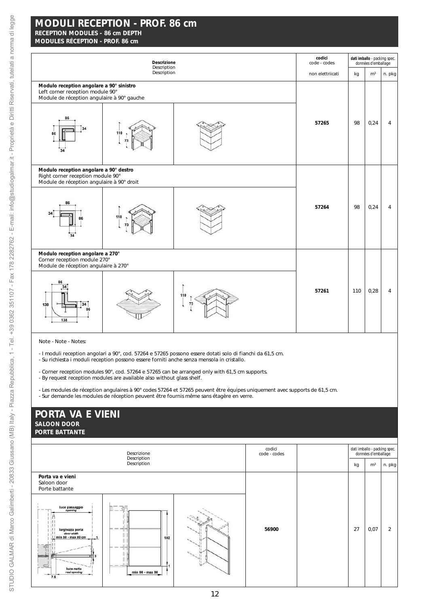# **MODULES RÉCEPTION - PROF. 86 cm**

| Descrizione<br>Description                                                                                                 |             | codici<br>code - codes |                  | dati imballo - packing spec.<br>données d'emballage |                |                |
|----------------------------------------------------------------------------------------------------------------------------|-------------|------------------------|------------------|-----------------------------------------------------|----------------|----------------|
|                                                                                                                            | Description |                        | non elettriicati | kg                                                  | m <sup>3</sup> | n. pkg         |
| Modulo reception angolare a 90° sinistro<br>Left corner reception module 90°<br>Module de réception angulaire à 90° gauche |             |                        |                  |                                                     |                |                |
| 86<br>110<br>86                                                                                                            |             |                        | 57265            | 98                                                  | 0,24           | $\overline{4}$ |
| Modulo reception angolare a 90° destro<br>Right corner reception module 90°<br>Module de réception angulaire à 90° droit   |             |                        |                  |                                                     |                |                |
| 110                                                                                                                        |             |                        | 57264            | 98                                                  | 0,24           | 4              |
| Modulo reception angolare a 270°<br>Corner reception module 270°<br>Module de réception angulaire à 270°                   |             |                        |                  |                                                     |                |                |
| 34<br>138<br>138                                                                                                           |             | 110<br>73              | 57261            | 110                                                 | 0,28           | 4              |

Note - *Note* - Notes:

- I moduli reception angolari a 90°, cod. 57264 e 57265 possono essere dotati solo di fianchi da 61,5 cm.

- Su richiesta i moduli reception possono essere forniti anche senza mensola in cristallo.
- *Corner reception modules 90°, cod. 57264 e 57265 can be arranged only with 61,5 cm supports.* - *By request reception modules are available also without glass shelf.*
- Les modules de réception angulaires à 90° codes 57264 et 57265 peuvent être équipes uniquement avec supports de 61,5 cm.
- Sur demande les modules de réception peuvent être fournis même sans étagère en verre.

# **PORTA VA E VIENI** *SALOON DOOR* **PORTE BATTANTE**

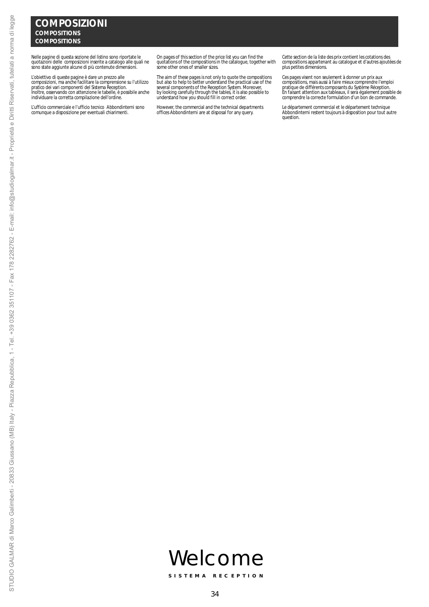Nelle pagine di questa sezione del listino sono riportate le quotazioni delle composizioni inserite a catalogo alle quali ne sono state aggiunte alcune di più contenute dimensioni.

L'obiettivo di queste pagine è dare un prezzo alle<br>composizioni, ma anche facilitare la comprensione su l'utilizzo<br>pratico dei vari componenti del Sistema Reception.<br>Inoltre, osservando con attenzione le tabelle, è possibi

L'ufficio commerciale e l'ufficio tecnico Abbondinterni sono comunque a disposizione per eventuali chiarimenti.

*On pages of this section of the price list you can find the quotations of the compositions in the catalogue, together with some other ones of smaller sizes.*

The aim of these pages is not only to quote the compositions<br>but also to help to better understand the practical use of the<br>several components of the Reception System. Moreover,<br>by looking carefully through the tables, it

*However, the commercial and the technical departments offices Abbondinterni are at disposal for any query.*

*Cette section de la liste des prix contient les cotations des compositions appartenant au catalogue et d'autres ajoutées de plus petites dimensions.* 

*Ces pages visent non seulement à donner un prix aux* compositions, mais aussi à faire mieux comprendre l'emploi<br>pratique de différents composants du Systeme Réception.<br>En falsant attention aux tableaux, il sera également possible de<br>comprendre la correcte formulation d'un bo

*Le département commercial et le département technique Abbondinterni restent toujours à disposition pour tout autre question.*

STUDIO GALMAR di Marco Galimberti - 20833 Giussano (MB) Italy - Piazza Repubblica, 1 - Tel. +39 0362 351107 - Fax 178 2282762 - E-mail: info@studiogalmar.it - Proprietà e Diritti Riservati, tutelati a norma di legge STUDIO GALMAR di Marco Galimberti - 20833 Giussano (MB) Italy - Piazza Repubblica, 1 - Tel. +39 0362 351107 - Fax 178 2282762 - E-mail: info@studiogalmar.it - Proprietà e Diritti Riservati, tutelati a norma di legge



**SISTEMA RECEPTION**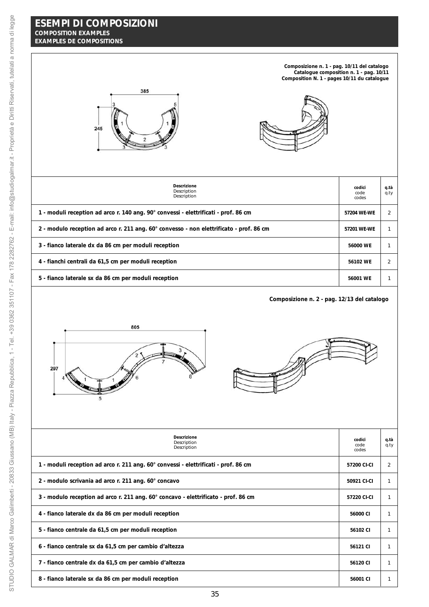**Composizione n. 1 - pag. 10/11 del catalogo** *Catalogue composition n. 1 - pag. 10/11* **Composition N. 1 - pages 10/11 du catalogue**





| Descrizione<br>Description<br>Description                                               | codici<br>code<br>codes | q.tà<br>q.ty |
|-----------------------------------------------------------------------------------------|-------------------------|--------------|
| 1 - moduli reception ad arco r. 140 ang. 90° convessi - elettrificati - prof. 86 cm     | 57204 WE-WE             |              |
| 2 - modulo reception ad arco r. 211 ang. 60° convesso - non elettrificato - prof. 86 cm | 57201 WE-WE             |              |
| 3 - fianco laterale dx da 86 cm per moduli reception                                    | 56000 WE                |              |
| 4 - fianchi centrali da 61,5 cm per moduli reception                                    | 56102 WE                | 2            |
| 5 - fianco laterale sx da 86 cm per moduli reception                                    | 56001 WE                |              |
|                                                                                         |                         |              |

**Composizione n. 2 - pag. 12/13 del catalogo**



| <b>Descrizione</b><br>Description<br>Description                                    | codici<br>code<br>codes | q.tà<br>q.ty   |
|-------------------------------------------------------------------------------------|-------------------------|----------------|
| 1 - moduli reception ad arco r. 211 ang. 60° convessi - elettrificati - prof. 86 cm | 57200 CI-CI             | $\overline{2}$ |
| 2 - modulo scrivania ad arco r. 211 ang. 60° concavo                                | 50921 CI-CI             |                |
| 3 - modulo reception ad arco r. 211 ang. 60° concavo - elettrificato - prof. 86 cm  | 57220 CI-CI             |                |
| 4 - fianco laterale dx da 86 cm per moduli reception                                | 56000 CI                |                |
| 5 - fianco centrale da 61,5 cm per moduli reception                                 | 56102 CI                |                |
| 6 - fianco centrale sx da 61,5 cm per cambio d'altezza                              | 56121 CI                |                |
| 7 - fianco centrale dx da 61,5 cm per cambio d'altezza                              | 56120 CI                |                |
| 8 - fianco laterale sx da 86 cm per moduli reception                                | 56001 CI                |                |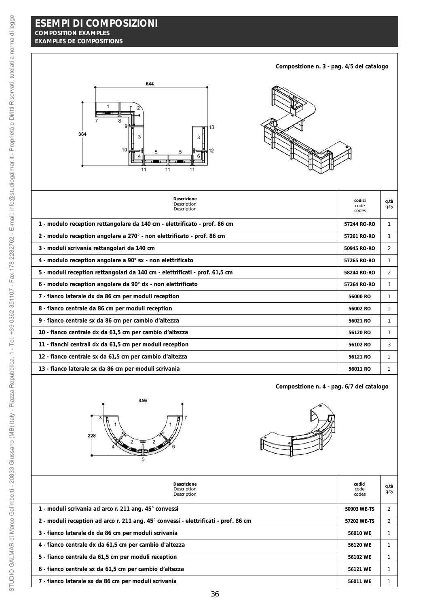**Composizione n. 3 - pag. 4/5 del catalogo**



| <b>Descrizione</b><br>Description<br>Description                            | codici<br>code<br>codes | q.tà<br>q.ty |
|-----------------------------------------------------------------------------|-------------------------|--------------|
| 1 - modulo reception rettangolare da 140 cm - elettrificato - prof. 86 cm   | 57244 RO-RO             | 1            |
| 2 - modulo reception angolare a 270° - non elettrificato - prof. 86 cm      | 57261 RO-RO             |              |
| 3 - moduli scrivania rettangolari da 140 cm                                 | 50945 RO-RO             | 2            |
| 4 - modulo reception angolare a 90° sx - non elettrificato                  | 57265 RO-RO             | 1            |
| 5 - moduli reception rettangolari da 140 cm - elettrificati - prof. 61,5 cm | 58244 RO-RO             | 2            |
| 6 - modulo reception angolare da 90° dx - non elettrificato                 | 57264 RO-RO             | 1            |
| 7 - fianco laterale dx da 86 cm per moduli reception                        | 56000 RO                | 1            |
| 8 - fianco centrale da 86 cm per moduli reception                           | 56002 RO                | 1            |
| 9 - fianco centrale sx da 86 cm per cambio d'altezza                        | 56021 RO                | 1            |
| 10 - fianco centrale dx da 61,5 cm per cambio d'altezza                     | 56120 RO                | 1            |
| 11 - fianchi centrali dx da 61,5 cm per moduli reception                    | 56102 RO                | 3            |
| 12 - fianco centrale sx da 61,5 cm per cambio d'altezza                     | 56121 RO                | 1            |
| 13 - fianco laterale sx da 86 cm per moduli scrivania                       | 56011 RO                | 1            |





**Composizione n. 4 - pag. 6/7 del catalogo**

| Descrizione<br>Description<br>Description                                           | codici<br>code<br>codes | q.tà<br>q.ty |
|-------------------------------------------------------------------------------------|-------------------------|--------------|
| 1 - moduli scrivania ad arco r. 211 ang. 45° convessi                               | 50903 WE-TS             |              |
| 2 - moduli reception ad arco r. 211 ang. 45° convessi - elettrificati - prof. 86 cm | 57202 WE-TS             |              |
| 3 - fianco laterale dx da 86 cm per moduli scrivania                                | 56010 WE                |              |
| 4 - fianco centrale dx da 61,5 cm per cambio d'altezza                              | 56120 WE                |              |
| 5 - fianco centrale da 61,5 cm per moduli reception                                 | 56102 WE                |              |
| 6 - fianco centrale sx da 61,5 cm per cambio d'altezza                              | 56121 WE                |              |
| 7 - fianco laterale sx da 86 cm per moduli scrivania                                | 56011 WE                |              |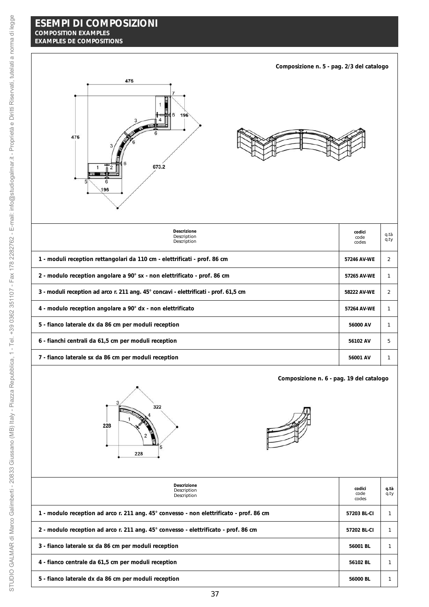| Composizione n. 5 - pag. 2/3 del catalogo                                            |                         |              |
|--------------------------------------------------------------------------------------|-------------------------|--------------|
| 476<br>196<br>476<br>673.2<br>5<br>6<br>196                                          |                         |              |
| Descrizione<br>Description<br>Description                                            | codici<br>code<br>codes | q.tà<br>q.ty |
| 1 - moduli reception rettangolari da 110 cm - elettrificati - prof. 86 cm            | 57246 AV-WE             | 2            |
| 2 - modulo reception angolare a 90° sx - non elettrificato - prof. 86 cm             | 57265 AV-WE             | 1            |
| 3 - moduli reception ad arco r. 211 ang. 45° concavi - elettrificati - prof. 61,5 cm | 58222 AV-WE             | 2            |
| 4 - modulo reception angolare a 90° dx - non elettrificato                           | 57264 AV-WE             | 1            |
| 5 - fianco laterale dx da 86 cm per moduli reception                                 | 56000 AV                | $\mathbf{1}$ |
| 6 - fianchi centrali da 61,5 cm per moduli reception                                 | 56102 AV                | 5            |
| 7 - fianco laterale sx da 86 cm per moduli reception                                 | 56001 AV                | $\mathbf{1}$ |



**Composizione n. 6 - pag. 19 del catalogo**



| Descrizione<br>Description<br>Description                                               | codici<br>code<br>codes | q.tà<br>q.ty |
|-----------------------------------------------------------------------------------------|-------------------------|--------------|
| 1 - modulo reception ad arco r. 211 ang. 45° convesso - non elettrificato - prof. 86 cm | 57203 BL-CI             |              |
| 2 - modulo reception ad arco r. 211 ang. 45° convesso - elettrificato - prof. 86 cm     | 57202 BL-CI             |              |
| 3 - fianco laterale sx da 86 cm per moduli reception                                    | 56001 BL                |              |
| 4 - fianco centrale da 61,5 cm per moduli reception                                     | 56102 BL                |              |
| 5 - fianco laterale dx da 86 cm per moduli reception                                    | 56000 BL                |              |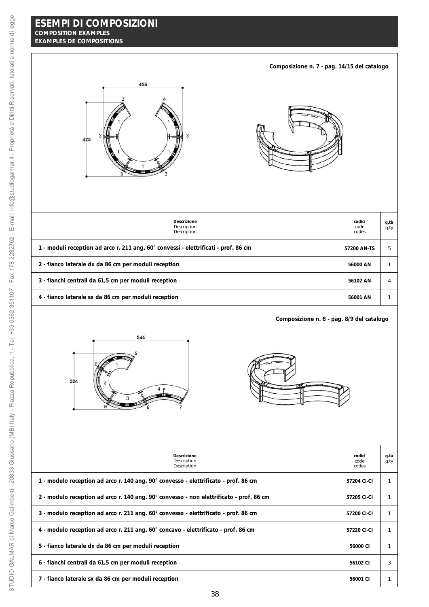| Composizione n. 7 - pag. 14/15 del catalogo                                             |                         |              |  |
|-----------------------------------------------------------------------------------------|-------------------------|--------------|--|
| 456<br>425                                                                              |                         |              |  |
| Descrizione<br>Description<br>Description                                               | codici<br>code<br>codes | q.tà<br>q.ty |  |
| 1 - moduli reception ad arco r. 211 ang. 60° convessi - elettrificati - prof. 86 cm     | 57200 AN-TS             | 5            |  |
| 2 - fianco laterale dx da 86 cm per moduli reception                                    | 56000 AN                | $\mathbf{1}$ |  |
| 3 - fianchi centrali da 61,5 cm per moduli reception                                    | 56102 AN                | 4            |  |
| 4 - fianco laterale sx da 86 cm per moduli reception                                    | 56001 AN                | 1            |  |
| Composizione n. 8 - pag. 8/9 del catalogo<br>544<br>324<br>3                            |                         |              |  |
| Descrizione<br>Description<br>Description                                               | codici<br>code<br>codes | q.tà<br>q.ty |  |
| 1 - modulo reception ad arco r. 140 ang. 90° convesso - elettrificato - prof. 86 cm     | 57204 CI-CI             | $\mathbf{1}$ |  |
| 2 - modulo reception ad arco r. 140 ang. 90° convesso - non elettrificato - prof. 86 cm | 57205 CI-CI             | $\mathbf{1}$ |  |
| 3 - modulo reception ad arco r. 211 ang. 60° convesso - elettrificato - prof. 86 cm     | 57200 CI-CI             | $\mathbf{1}$ |  |
| 4 - modulo reception ad arco r. 211 ang. 60° concavo - elettrificato - prof. 86 cm      | 57220 CI-CI             | $\mathbf{1}$ |  |
| 5 - fianco laterale dx da 86 cm per moduli reception                                    | 56000 CI                | $\mathbf{1}$ |  |
| 6 - fianchi centrali da 61,5 cm per moduli reception                                    | 56102 CI                | 3            |  |

**1** - fianco laterale sx da 86 cm per moduli reception **56001** CI  $\begin{array}{|c|c|c|} \hline \end{array}$  1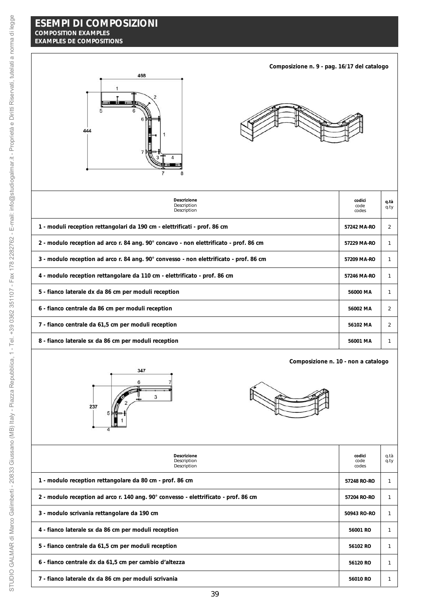



**Composizione n. 9 - pag. 16/17 del catalogo**

| Descrizione<br>Description<br>Description                                              | codici<br>code<br>codes | q.tà<br>$q_{.}ty$ |
|----------------------------------------------------------------------------------------|-------------------------|-------------------|
| 1 - moduli reception rettangolari da 190 cm - elettrificati - prof. 86 cm              | 57242 MA-RO             | 2                 |
| 2 - modulo reception ad arco r. 84 ang. 90° concavo - non elettrificato - prof. 86 cm  | 57229 MA-RO             |                   |
| 3 - modulo reception ad arco r. 84 ang. 90° convesso - non elettrificato - prof. 86 cm | 57209 MA-RO             |                   |
| 4 - modulo reception rettangolare da 110 cm - elettrificato - prof. 86 cm              | 57246 MA-RO             |                   |
| 5 - fianco laterale dx da 86 cm per moduli reception                                   | 56000 MA                |                   |
| 6 - fianco centrale da 86 cm per moduli reception                                      | 56002 MA                | $\overline{2}$    |
| 7 - fianco centrale da 61,5 cm per moduli reception                                    | 56102 MA                | 2                 |
| 8 - fianco laterale sx da 86 cm per moduli reception                                   | 56001 MA                |                   |



**Composizione n. 10 - non a catalogo**



| Descrizione<br>Description<br>Description                                           | codici<br>code<br>codes | q.tà<br>q.ty |
|-------------------------------------------------------------------------------------|-------------------------|--------------|
| 1 - modulo reception rettangolare da 80 cm - prof. 86 cm                            | 57248 RO-RO             |              |
| 2 - modulo reception ad arco r. 140 ang. 90° convesso - elettrificato - prof. 86 cm | 57204 RO-RO             |              |
| 3 - modulo scrivania rettangolare da 190 cm                                         | 50943 RO-RO             |              |
| 4 - fianco laterale sx da 86 cm per moduli reception                                | 56001 RO                |              |
| 5 - fianco centrale da 61,5 cm per moduli reception                                 | 56102 RO                |              |
| 6 - fianco centrale dx da 61,5 cm per cambio d'altezza                              | 56120 RO                |              |
| 7 - fianco laterale dx da 86 cm per moduli scrivania                                | 56010 RO                |              |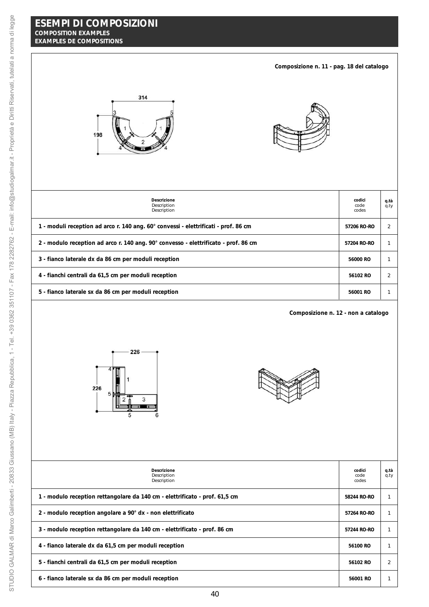| Composizione n. 11 - pag. 18 del catalogo                                           |                         |                |
|-------------------------------------------------------------------------------------|-------------------------|----------------|
| 314<br>198                                                                          |                         |                |
| Descrizione<br>Description<br>Description                                           | codici<br>code<br>codes | q.tà<br>q.ty   |
| 1 - moduli reception ad arco r. 140 ang. 60° convessi - elettrificati - prof. 86 cm | 57206 RO-RO             | $\overline{2}$ |
| 2 - modulo reception ad arco r. 140 ang. 90° convesso - elettrificato - prof. 86 cm | 57204 RO-RO             | $\mathbf{1}$   |
| 3 - fianco laterale dx da 86 cm per moduli reception                                | 56000 RO                | $\mathbf{1}$   |
| 4 - fianchi centrali da 61,5 cm per moduli reception                                | 56102 RO                | $\overline{2}$ |
| 5 - fianco laterale sx da 86 cm per moduli reception                                | 56001 RO                | $\mathbf{1}$   |
| Composizione n. 12 - non a catalogo<br>226<br>226<br>5<br>3<br>6<br>5               |                         |                |
| Descrizione<br>Description<br>Description                                           | codici<br>code<br>codes | q.tà<br>q.ty   |
| 1 - modulo reception rettangolare da 140 cm - elettrificato - prof. 61,5 cm         | 58244 RO-RO             | $\mathbf{1}$   |
| 2 - modulo reception angolare a 90° dx - non elettrificato                          | 57264 RO-RO             | $\mathbf{1}$   |

**6** - fianco laterale sx da 86 cm per moduli reception **56001 56001 RO** 1

**3** - modulo reception rettangolare da 140 cm - elettrificato - prof. 86 cm  $\frac{1}{2}$  57244 RO-RO  $\frac{1}{2}$  57244 RO-RO

**4** - fianco laterale dx da 61,5 cm per moduli reception **56100 RO** 1

**5** - fianchi centrali da 61,5 cm per moduli reception **56102 RO** 36102 RO 36102 RO 36102 RO 36102 RO 36102 RO 36102 RO 36102 RO 36102 RO 36102 RO 36102 RO 36102 RO 36102 RO 36102 RO 36102 RO 36102 RO 36102 RO 36102 RO 361